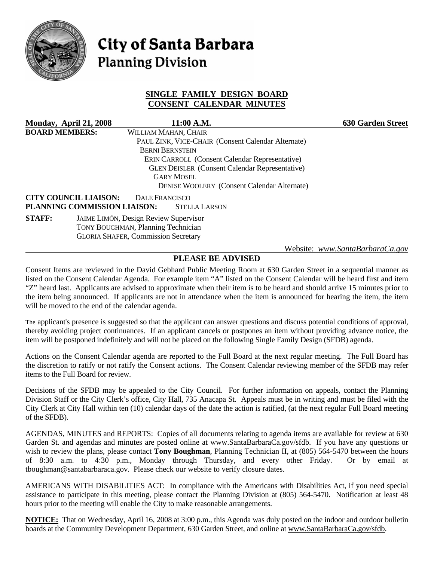

# **City of Santa Barbara Planning Division**

## **SINGLE FAMILY DESIGN BOARD CONSENT CALENDAR MINUTES**

| Monday, April 21, 2008 |                                            |                                                       | 11:00 A.M.                                            |                                                    | <b>630 Garden Street</b>        |
|------------------------|--------------------------------------------|-------------------------------------------------------|-------------------------------------------------------|----------------------------------------------------|---------------------------------|
| <b>BOARD MEMBERS:</b>  |                                            | WILLIAM MAHAN, CHAIR                                  |                                                       |                                                    |                                 |
|                        |                                            |                                                       | PAUL ZINK, VICE-CHAIR (Consent Calendar Alternate)    |                                                    |                                 |
|                        |                                            | <b>BERNI BERNSTEIN</b>                                |                                                       |                                                    |                                 |
|                        |                                            |                                                       | <b>ERIN CARROLL</b> (Consent Calendar Representative) |                                                    |                                 |
|                        |                                            | <b>GLEN DEISLER</b> (Consent Calendar Representative) |                                                       |                                                    |                                 |
|                        |                                            | <b>GARY MOSEL</b>                                     |                                                       |                                                    |                                 |
|                        |                                            |                                                       |                                                       | <b>DENISE WOOLERY</b> (Consent Calendar Alternate) |                                 |
|                        | <b>CITY COUNCIL LIAISON:</b>               | <b>DALE FRANCISCO</b>                                 |                                                       |                                                    |                                 |
|                        | PLANNING COMMISSION LIAISON:               |                                                       | <b>STELLA LARSON</b>                                  |                                                    |                                 |
| <b>STAFF:</b>          |                                            | <b>JAIME LIMÓN, Design Review Supervisor</b>          |                                                       |                                                    |                                 |
|                        | <b>TONY BOUGHMAN, Planning Technician</b>  |                                                       |                                                       |                                                    |                                 |
|                        | <b>GLORIA SHAFER, Commission Secretary</b> |                                                       |                                                       |                                                    |                                 |
|                        |                                            |                                                       |                                                       |                                                    | Website: www.SantaBarbaraCa.gov |

# **PLEASE BE ADVISED**

Consent Items are reviewed in the David Gebhard Public Meeting Room at 630 Garden Street in a sequential manner as listed on the Consent Calendar Agenda. For example item "A" listed on the Consent Calendar will be heard first and item "Z" heard last. Applicants are advised to approximate when their item is to be heard and should arrive 15 minutes prior to the item being announced. If applicants are not in attendance when the item is announced for hearing the item, the item will be moved to the end of the calendar agenda.

The applicant's presence is suggested so that the applicant can answer questions and discuss potential conditions of approval, thereby avoiding project continuances. If an applicant cancels or postpones an item without providing advance notice, the item will be postponed indefinitely and will not be placed on the following Single Family Design (SFDB) agenda.

Actions on the Consent Calendar agenda are reported to the Full Board at the next regular meeting. The Full Board has the discretion to ratify or not ratify the Consent actions. The Consent Calendar reviewing member of the SFDB may refer items to the Full Board for review.

Decisions of the SFDB may be appealed to the City Council. For further information on appeals, contact the Planning Division Staff or the City Clerk's office, City Hall, 735 Anacapa St. Appeals must be in writing and must be filed with the City Clerk at City Hall within ten (10) calendar days of the date the action is ratified, (at the next regular Full Board meeting of the SFDB).

AGENDAS, MINUTES and REPORTS: Copies of all documents relating to agenda items are available for review at 630 Garden St. and agendas and minutes are posted online at www.SantaBarbaraCa.gov/sfdb. If you have any questions or wish to review the plans, please contact **Tony Boughman**, Planning Technician II, at (805) 564-5470 between the hours of 8:30 a.m. to 4:30 p.m., Monday through Thursday, and every other Friday. Or by email at tboughman@santabarbaraca.gov. Please check our website to verify closure dates.

AMERICANS WITH DISABILITIES ACT: In compliance with the Americans with Disabilities Act, if you need special assistance to participate in this meeting, please contact the Planning Division at (805) 564-5470. Notification at least 48 hours prior to the meeting will enable the City to make reasonable arrangements.

**NOTICE:** That on Wednesday, April 16, 2008 at 3:00 p.m., this Agenda was duly posted on the indoor and outdoor bulletin boards at the Community Development Department, 630 Garden Street, and online at www.SantaBarbaraCa.gov/sfdb.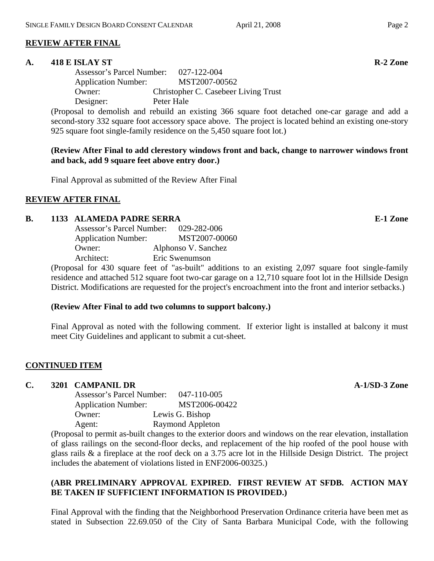# **REVIEW AFTER FINAL**

#### **A. 418 E ISLAY ST R-2 Zone**

 Assessor's Parcel Number: 027-122-004 Application Number: MST2007-00562 Owner: Christopher C. Casebeer Living Trust Designer: Peter Hale

(Proposal to demolish and rebuild an existing 366 square foot detached one-car garage and add a second-story 332 square foot accessory space above. The project is located behind an existing one-story 925 square foot single-family residence on the 5,450 square foot lot.)

**(Review After Final to add clerestory windows front and back, change to narrower windows front and back, add 9 square feet above entry door.)** 

Final Approval as submitted of the Review After Final

#### **REVIEW AFTER FINAL**

#### **B.** 1133 ALAMEDA PADRE SERRA **E-1 Zone**

| Assessor's Parcel Number:                                                                        | 029-282-006         |
|--------------------------------------------------------------------------------------------------|---------------------|
| <b>Application Number:</b>                                                                       | MST2007-00060       |
| Owner:                                                                                           | Alphonso V. Sanchez |
| Architect:                                                                                       | Eric Swenumson      |
| $\sqrt{D}$ 1 $\sqrt{20}$ $\sqrt{20}$ $\sqrt{10}$ $\sqrt{10}$ $\sqrt{10}$ $\sqrt{10}$ $\sqrt{10}$ |                     |

(Proposal for 430 square feet of "as-built" additions to an existing 2,097 square foot single-family residence and attached 512 square foot two-car garage on a 12,710 square foot lot in the Hillside Design District. Modifications are requested for the project's encroachment into the front and interior setbacks.)

#### **(Review After Final to add two columns to support balcony.)**

Final Approval as noted with the following comment. If exterior light is installed at balcony it must meet City Guidelines and applicant to submit a cut-sheet.

#### **CONTINUED ITEM**

#### **C.** 3201 CAMPANIL DR **A-1/SD-3 Zone**

 Assessor's Parcel Number: 047-110-005 Application Number: MST2006-00422 Owner: Lewis G. Bishop Agent: Raymond Appleton

(Proposal to permit as-built changes to the exterior doors and windows on the rear elevation, installation of glass railings on the second-floor decks, and replacement of the hip roofed of the pool house with glass rails & a fireplace at the roof deck on a 3.75 acre lot in the Hillside Design District. The project includes the abatement of violations listed in ENF2006-00325.)

# **(ABR PRELIMINARY APPROVAL EXPIRED. FIRST REVIEW AT SFDB. ACTION MAY BE TAKEN IF SUFFICIENT INFORMATION IS PROVIDED.)**

Final Approval with the finding that the Neighborhood Preservation Ordinance criteria have been met as stated in Subsection 22.69.050 of the City of Santa Barbara Municipal Code, with the following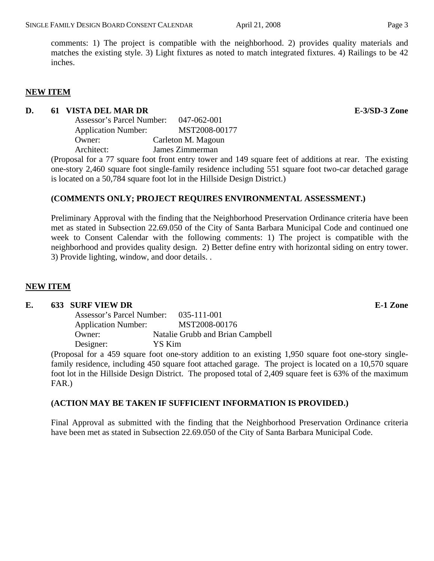comments: 1) The project is compatible with the neighborhood. 2) provides quality materials and matches the existing style. 3) Light fixtures as noted to match integrated fixtures. 4) Railings to be 42 inches.

#### **NEW ITEM**

#### **D.** 61 VISTA DEL MAR DR **E-3/SD-3 Zone**

| Assessor's Parcel Number:  | 047-062-001        |  |
|----------------------------|--------------------|--|
| <b>Application Number:</b> | MST2008-00177      |  |
| Owner:                     | Carleton M. Magoun |  |
| Architect:                 | James Zimmerman    |  |

(Proposal for a 77 square foot front entry tower and 149 square feet of additions at rear. The existing one-story 2,460 square foot single-family residence including 551 square foot two-car detached garage is located on a 50,784 square foot lot in the Hillside Design District.)

# **(COMMENTS ONLY; PROJECT REQUIRES ENVIRONMENTAL ASSESSMENT.)**

Preliminary Approval with the finding that the Neighborhood Preservation Ordinance criteria have been met as stated in Subsection 22.69.050 of the City of Santa Barbara Municipal Code and continued one week to Consent Calendar with the following comments: 1) The project is compatible with the neighborhood and provides quality design. 2) Better define entry with horizontal siding on entry tower. 3) Provide lighting, window, and door details. .

#### **NEW ITEM**

#### **E. 633 SURF VIEW DR E-1 Zone**

| Assessor's Parcel Number:  | 035-111-001                      |
|----------------------------|----------------------------------|
| <b>Application Number:</b> | MST2008-00176                    |
| Owner:                     | Natalie Grubb and Brian Campbell |
| Designer:                  | YS Kim                           |

(Proposal for a 459 square foot one-story addition to an existing 1,950 square foot one-story singlefamily residence, including 450 square foot attached garage. The project is located on a 10,570 square foot lot in the Hillside Design District. The proposed total of 2,409 square feet is 63% of the maximum FAR.)

#### **(ACTION MAY BE TAKEN IF SUFFICIENT INFORMATION IS PROVIDED.)**

Final Approval as submitted with the finding that the Neighborhood Preservation Ordinance criteria have been met as stated in Subsection 22.69.050 of the City of Santa Barbara Municipal Code.